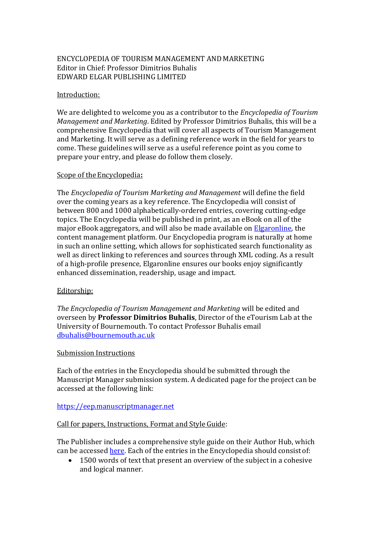# ENCYCLOPEDIA OF TOURISM MANAGEMENT AND MARKETING Editor in Chief: Professor Dimitrios Buhalis EDWARD ELGAR PUBLISHING LIMITED

### Introduction:

We are delighted to welcome you as a contributor to the *Encyclopedia of Tourism Management and Marketing*. Edited by Professor Dimitrios Buhalis, this will be a comprehensive Encyclopedia that will cover all aspects of Tourism Management and Marketing. It will serve as a defining reference work in the field for years to come. These guidelines will serve as a useful reference point as you come to prepare your entry, and please do follow them closely.

### Scope of the Encyclopedia:

The *Encyclopedia of Tourism Marketing and Management* will define the field over the coming years as a key reference. The Encyclopedia will consist of between 800 and 1000 alphabetically-ordered entries, covering cutting-edge topics. The Encyclopedia will be published in print, as an eBook on all of the major eBook aggregators, and will also be made available on [Elgaronline,](https://www.elgaronline.com/) the content management platform. Our Encyclopedia program is naturally at home in such an online setting, which allows for sophisticated search functionality as well as direct linking to references and sources through XML coding. As a result of a high-profile presence, Elgaronline ensures our books enjoy significantly enhanced dissemination, readership, usage and impact.

## Editorship:

*The Encyclopedia of Tourism Management and Marketing* will be edited and overseen by **Professor Dimitrios Buhalis**, Director of the eTourism Lab at the University of Bournemouth. To contact Professor Buhalis email [dbuhalis@bournemouth.ac.uk](mailto:dbuhalis@bournemouth.ac.uk)

#### Submission Instructions

Each of the entries in the Encyclopedia should be submitted through the Manuscript Manager submission system. A dedicated page for the project can be accessed at the following link:

## [https://eep.manuscriptmanager.net](https://eep.manuscriptmanager.net/sLib/v4/login.php?paramScreen=140mWr8F/Eco0c4JIU3YndibzEbgDS1DiMIs0sy7nb4=)

# Call for papers, Instructions, Format and Style Guide:

The Publisher includes a comprehensive style guide on their Author Hub, which can be accessed [here.](https://www.e-elgar.com/author-hub/as-you-write-your-book-or-chapter/) Each of the entries in the Encyclopedia should consist of:

 1500 words of text that present an overview of the subject in a cohesive and logical manner.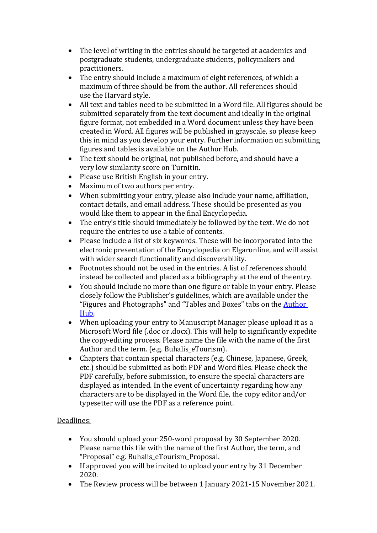- The level of writing in the entries should be targeted at academics and postgraduate students, undergraduate students, policymakers and practitioners.
- The entry should include a maximum of eight references, of which a maximum of three should be from the author. All references should use the Harvard style.
- All text and tables need to be submitted in a Word file. All figures should be submitted separately from the text document and ideally in the original figure format, not embedded in a Word document unless they have been created in Word. All figures will be published in grayscale, so please keep this in mind as you develop your entry. Further information on submitting figures and tables is available on the Author Hub.
- The text should be original, not published before, and should have a very low similarity score on Turnitin.
- Please use British English in your entry.
- Maximum of two authors per entry.
- When submitting your entry, please also include your name, affiliation, contact details, and email address. These should be presented as you would like them to appear in the final Encyclopedia.
- The entry's title should immediately be followed by the text. We do not require the entries to use a table of contents.
- Please include a list of six keywords. These will be incorporated into the electronic presentation of the Encyclopedia on Elgaronline, and will assist with wider search functionality and discoverability.
- Footnotes should not be used in the entries. A list of references should instead be collected and placed as a bibliography at the end of the entry.
- You should include no more than one figure or table in your entry. Please closely follow the Publisher's guidelines, which are available under the "Figures and Photographs" and "Tables and Boxes" tabs on the **[Author](https://www.e-elgar.com/author-hub/as-you-write-your-book-or-chapter/)** [Hub.](https://www.e-elgar.com/author-hub/as-you-write-your-book-or-chapter/)
- When uploading your entry to Manuscript Manager please upload it as a Microsoft Word file (.doc or .docx). This will help to significantly expedite the copy-editing process. Please name the file with the name of the first Author and the term. (e.g. Buhalis\_eTourism).
- Chapters that contain special characters (e.g. Chinese, Japanese, Greek, etc.) should be submitted as both PDF and Word files. Please check the PDF carefully, before submission, to ensure the special characters are displayed as intended. In the event of uncertainty regarding how any characters are to be displayed in the Word file, the copy editor and/or typesetter will use the PDF as a reference point.

# Deadlines:

- You should upload your 250-word proposal by 30 September 2020. Please name this file with the name of the first Author, the term, and "Proposal" e.g. Buhalis\_eTourism\_Proposal.
- If approved you will be invited to upload your entry by 31 December 2020.
- The Review process will be between 1 January 2021-15 November 2021.